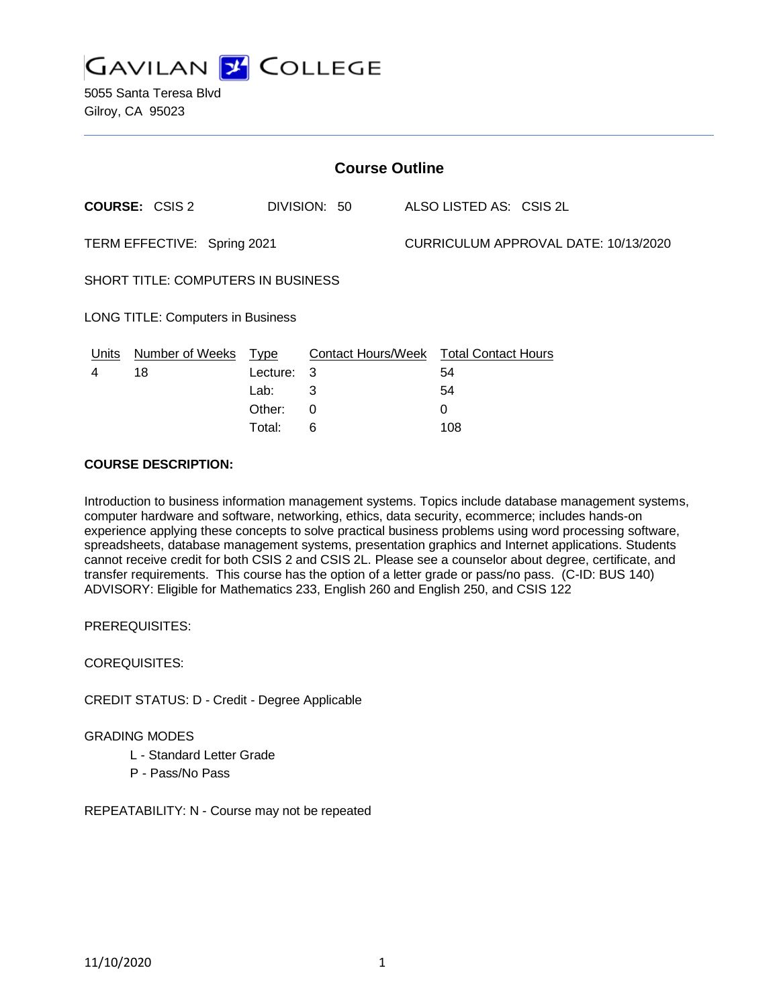

5055 Santa Teresa Blvd Gilroy, CA 95023

| <b>Course Outline</b>                    |                       |            |                                               |  |                                      |  |  |
|------------------------------------------|-----------------------|------------|-----------------------------------------------|--|--------------------------------------|--|--|
|                                          | <b>COURSE: CSIS 2</b> |            | DIVISION: 50                                  |  | ALSO LISTED AS: CSIS 2L              |  |  |
| TERM EFFECTIVE: Spring 2021              |                       |            |                                               |  | CURRICULUM APPROVAL DATE: 10/13/2020 |  |  |
| SHORT TITLE: COMPUTERS IN BUSINESS       |                       |            |                                               |  |                                      |  |  |
| <b>LONG TITLE: Computers in Business</b> |                       |            |                                               |  |                                      |  |  |
| Units                                    | Number of Weeks Type  |            | <b>Contact Hours/Week Total Contact Hours</b> |  |                                      |  |  |
| 4                                        | 18                    | Lecture: 3 |                                               |  | 54                                   |  |  |
|                                          |                       | Lab:       | 3                                             |  | 54                                   |  |  |
|                                          |                       | Other:     | 0                                             |  | 0                                    |  |  |
|                                          |                       | Total:     | 6                                             |  | 108                                  |  |  |

### **COURSE DESCRIPTION:**

Introduction to business information management systems. Topics include database management systems, computer hardware and software, networking, ethics, data security, ecommerce; includes hands-on experience applying these concepts to solve practical business problems using word processing software, spreadsheets, database management systems, presentation graphics and Internet applications. Students cannot receive credit for both CSIS 2 and CSIS 2L. Please see a counselor about degree, certificate, and transfer requirements. This course has the option of a letter grade or pass/no pass. (C-ID: BUS 140) ADVISORY: Eligible for Mathematics 233, English 260 and English 250, and CSIS 122

PREREQUISITES:

COREQUISITES:

CREDIT STATUS: D - Credit - Degree Applicable

GRADING MODES

L - Standard Letter Grade

P - Pass/No Pass

REPEATABILITY: N - Course may not be repeated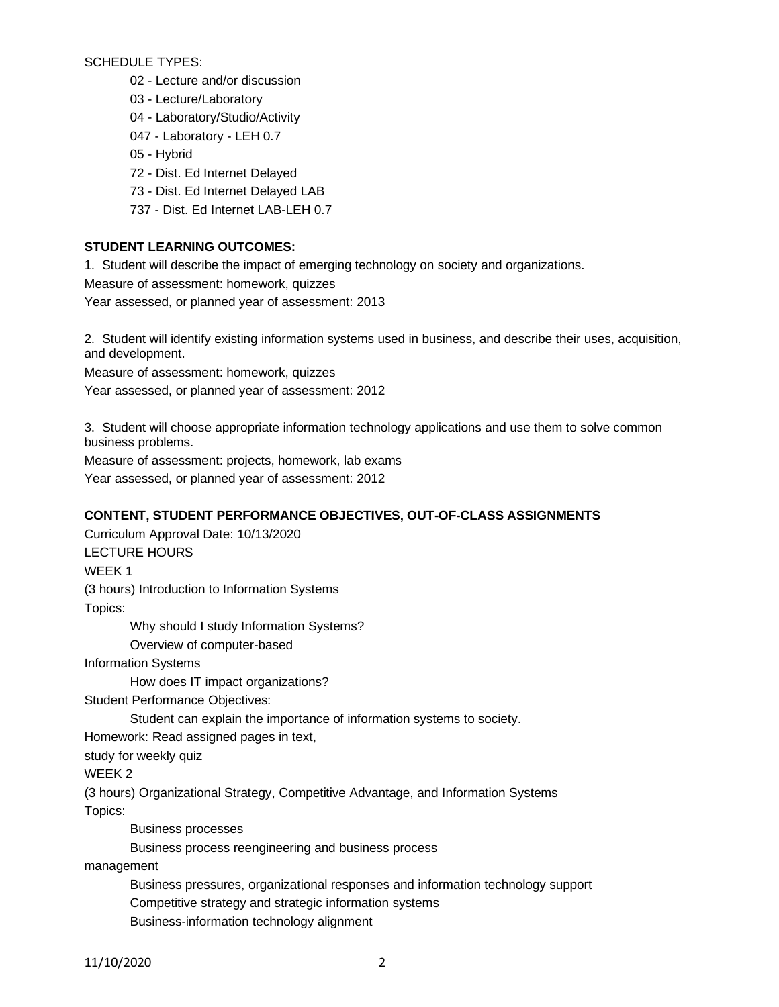SCHEDULE TYPES:

- 02 Lecture and/or discussion
- 03 Lecture/Laboratory
- 04 Laboratory/Studio/Activity
- 047 Laboratory LEH 0.7
- 05 Hybrid
- 72 Dist. Ed Internet Delayed
- 73 Dist. Ed Internet Delayed LAB
- 737 Dist. Ed Internet LAB-LEH 0.7

# **STUDENT LEARNING OUTCOMES:**

1. Student will describe the impact of emerging technology on society and organizations.

Measure of assessment: homework, quizzes

Year assessed, or planned year of assessment: 2013

2. Student will identify existing information systems used in business, and describe their uses, acquisition, and development.

Measure of assessment: homework, quizzes

Year assessed, or planned year of assessment: 2012

3. Student will choose appropriate information technology applications and use them to solve common business problems.

Measure of assessment: projects, homework, lab exams Year assessed, or planned year of assessment: 2012

## **CONTENT, STUDENT PERFORMANCE OBJECTIVES, OUT-OF-CLASS ASSIGNMENTS**

Curriculum Approval Date: 10/13/2020 LECTURE HOURS WEEK 1 (3 hours) Introduction to Information Systems Topics: Why should I study Information Systems? Overview of computer-based Information Systems How does IT impact organizations? Student Performance Objectives: Student can explain the importance of information systems to society. Homework: Read assigned pages in text, study for weekly quiz WEEK 2 (3 hours) Organizational Strategy, Competitive Advantage, and Information Systems Topics: Business processes Business process reengineering and business process management Business pressures, organizational responses and information technology support Competitive strategy and strategic information systems Business-information technology alignment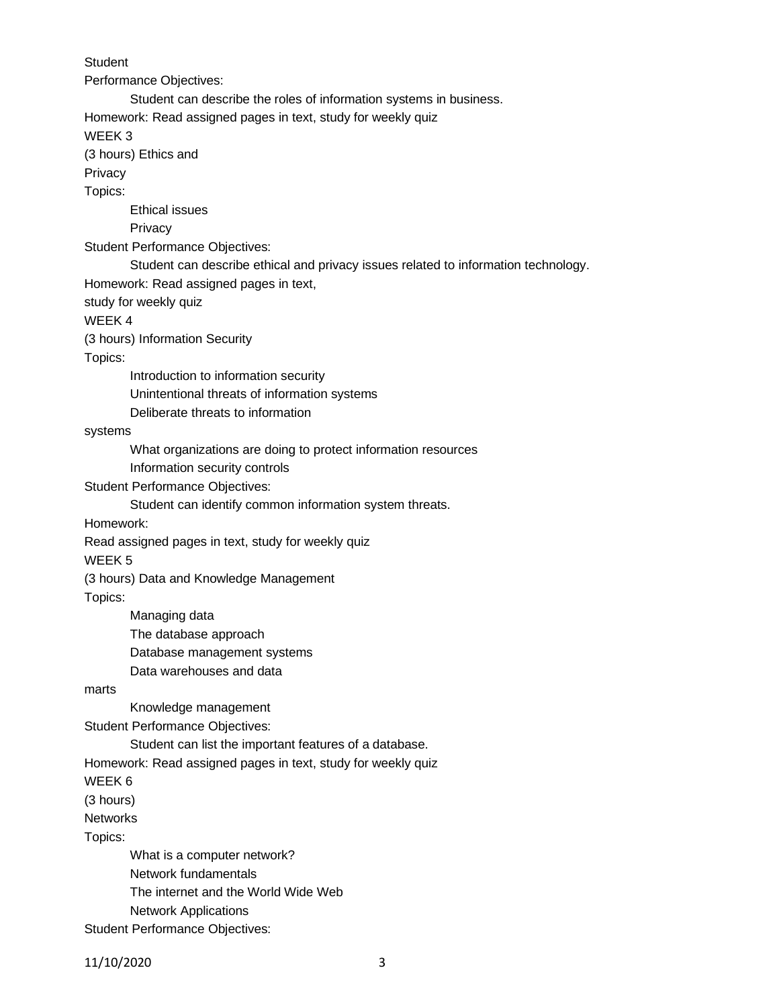**Student** Performance Objectives: Student can describe the roles of information systems in business. Homework: Read assigned pages in text, study for weekly quiz WEEK 3 (3 hours) Ethics and **Privacy** Topics: Ethical issues **Privacy** Student Performance Objectives: Student can describe ethical and privacy issues related to information technology. Homework: Read assigned pages in text, study for weekly quiz WEEK 4 (3 hours) Information Security Topics: Introduction to information security Unintentional threats of information systems Deliberate threats to information systems What organizations are doing to protect information resources Information security controls Student Performance Objectives: Student can identify common information system threats. Homework: Read assigned pages in text, study for weekly quiz WEEK 5 (3 hours) Data and Knowledge Management Topics: Managing data The database approach Database management systems Data warehouses and data marts Knowledge management Student Performance Objectives: Student can list the important features of a database. Homework: Read assigned pages in text, study for weekly quiz WEEK 6 (3 hours) Networks Topics: What is a computer network? Network fundamentals The internet and the World Wide Web Network Applications

Student Performance Objectives: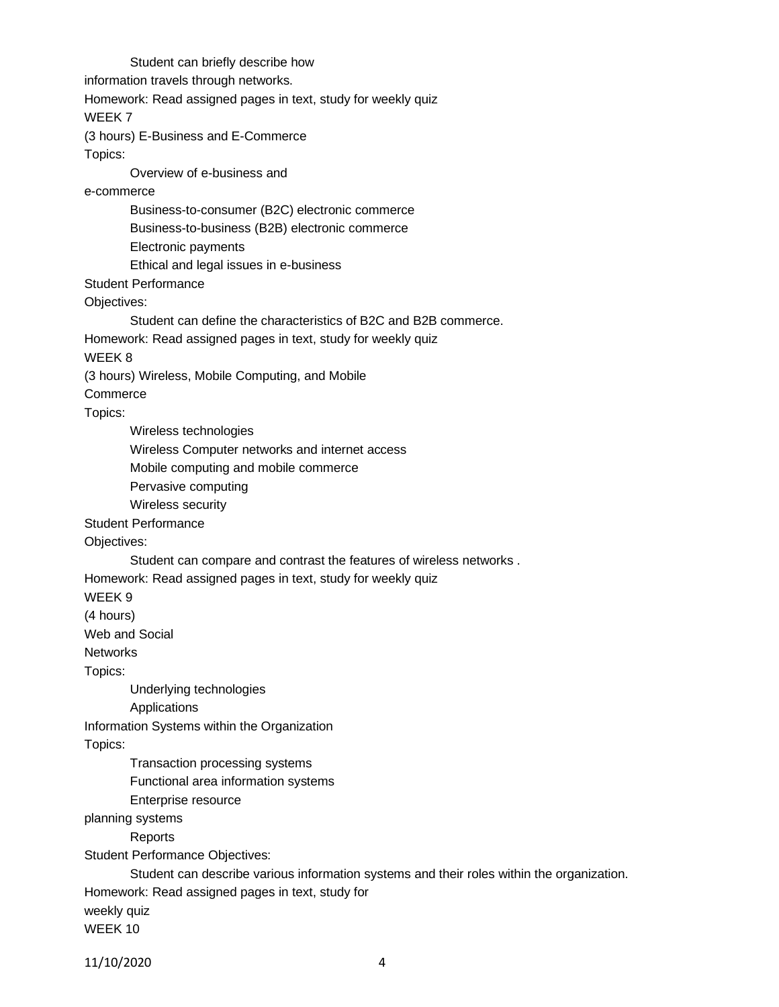Student can briefly describe how information travels through networks. Homework: Read assigned pages in text, study for weekly quiz WEEK 7 (3 hours) E-Business and E-Commerce Topics: Overview of e-business and e-commerce Business-to-consumer (B2C) electronic commerce Business-to-business (B2B) electronic commerce Electronic payments Ethical and legal issues in e-business Student Performance Objectives: Student can define the characteristics of B2C and B2B commerce. Homework: Read assigned pages in text, study for weekly quiz WEEK 8 (3 hours) Wireless, Mobile Computing, and Mobile **Commerce** Topics: Wireless technologies Wireless Computer networks and internet access Mobile computing and mobile commerce Pervasive computing Wireless security Student Performance Objectives: Student can compare and contrast the features of wireless networks . Homework: Read assigned pages in text, study for weekly quiz WEEK 9 (4 hours) Web and Social **Networks** Topics: Underlying technologies Applications Information Systems within the Organization Topics: Transaction processing systems Functional area information systems Enterprise resource planning systems Reports Student Performance Objectives: Student can describe various information systems and their roles within the organization. Homework: Read assigned pages in text, study for weekly quiz WEEK 10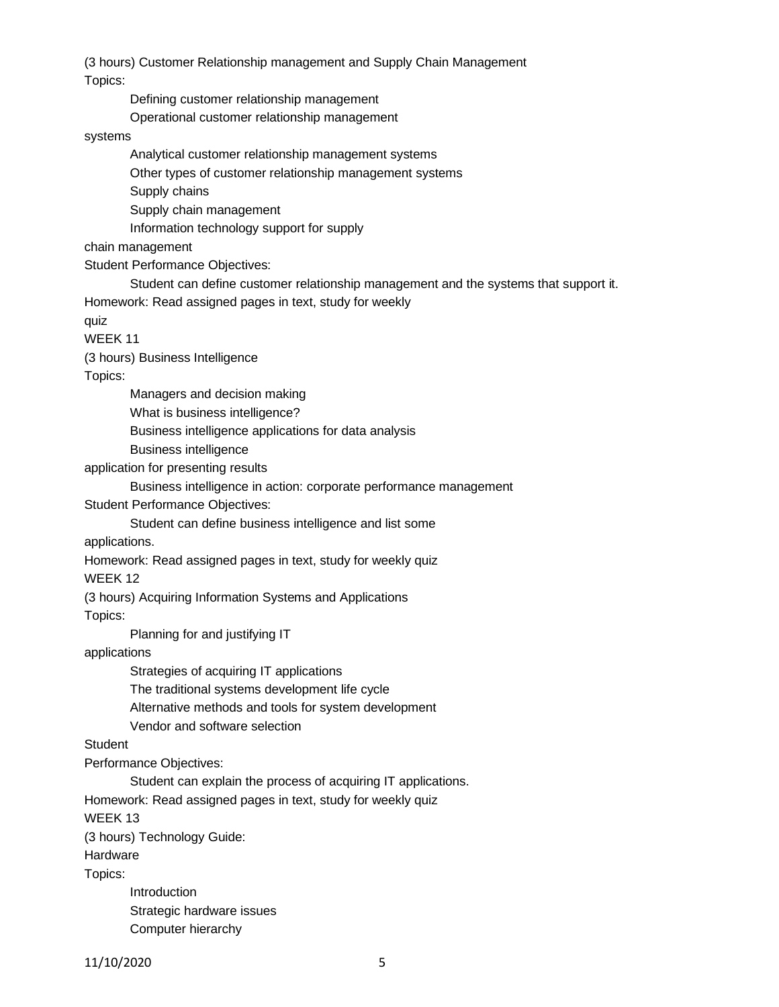(3 hours) Customer Relationship management and Supply Chain Management

Topics:

Defining customer relationship management

Operational customer relationship management

## systems

Analytical customer relationship management systems

Other types of customer relationship management systems

Supply chains

Supply chain management

Information technology support for supply

chain management

Student Performance Objectives:

Student can define customer relationship management and the systems that support it. Homework: Read assigned pages in text, study for weekly

quiz

WEEK 11

(3 hours) Business Intelligence

Topics:

Managers and decision making

What is business intelligence?

Business intelligence applications for data analysis

Business intelligence

application for presenting results

Business intelligence in action: corporate performance management

Student Performance Objectives:

Student can define business intelligence and list some

applications.

Homework: Read assigned pages in text, study for weekly quiz

WEEK 12

(3 hours) Acquiring Information Systems and Applications

Topics:

Planning for and justifying IT

applications

Strategies of acquiring IT applications

The traditional systems development life cycle

Alternative methods and tools for system development

Vendor and software selection

**Student** 

Performance Objectives:

Student can explain the process of acquiring IT applications.

Homework: Read assigned pages in text, study for weekly quiz

WEEK 13

(3 hours) Technology Guide:

Hardware

Topics:

Introduction Strategic hardware issues Computer hierarchy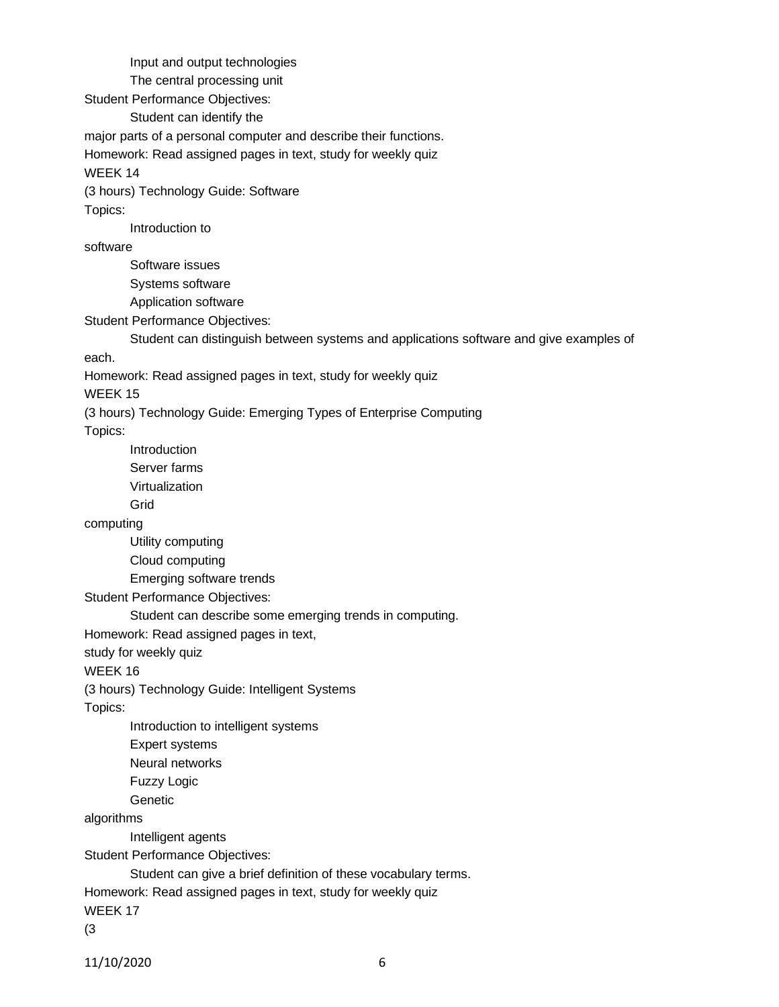Input and output technologies

The central processing unit

Student Performance Objectives:

Student can identify the

major parts of a personal computer and describe their functions.

Homework: Read assigned pages in text, study for weekly quiz

WEEK 14

(3 hours) Technology Guide: Software

Topics:

Introduction to

software

Software issues Systems software Application software

Student Performance Objectives:

Student can distinguish between systems and applications software and give examples of

each.

Homework: Read assigned pages in text, study for weekly quiz

WEEK 15

(3 hours) Technology Guide: Emerging Types of Enterprise Computing

Topics:

Introduction

Server farms

Virtualization

Grid

computing

Utility computing

Cloud computing

Emerging software trends

Student Performance Objectives:

Student can describe some emerging trends in computing.

Homework: Read assigned pages in text,

study for weekly quiz

WEEK 16

(3 hours) Technology Guide: Intelligent Systems

Topics:

Introduction to intelligent systems

Expert systems

Neural networks

Fuzzy Logic

**Genetic** 

algorithms

Intelligent agents

Student Performance Objectives:

Student can give a brief definition of these vocabulary terms.

Homework: Read assigned pages in text, study for weekly quiz

WEEK 17

(3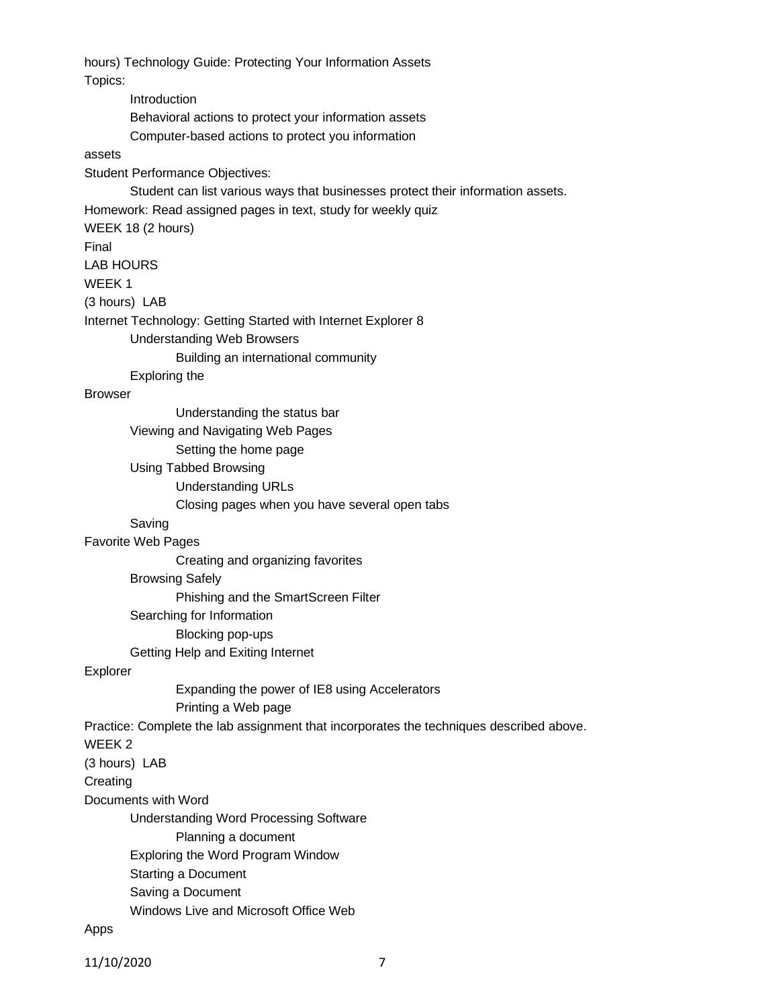hours) Technology Guide: Protecting Your Information Assets Topics: Introduction Behavioral actions to protect your information assets Computer-based actions to protect you information assets Student Performance Objectives: Student can list various ways that businesses protect their information assets. Homework: Read assigned pages in text, study for weekly quiz WEEK 18 (2 hours) Final LAB HOURS WEEK 1 (3 hours) LAB Internet Technology: Getting Started with Internet Explorer 8 Understanding Web Browsers Building an international community Exploring the Browser Understanding the status bar Viewing and Navigating Web Pages Setting the home page Using Tabbed Browsing Understanding URLs Closing pages when you have several open tabs Saving Favorite Web Pages Creating and organizing favorites Browsing Safely Phishing and the SmartScreen Filter Searching for Information Blocking pop-ups Getting Help and Exiting Internet Explorer Expanding the power of IE8 using Accelerators Printing a Web page Practice: Complete the lab assignment that incorporates the techniques described above. WEEK 2 (3 hours) LAB **Creating** Documents with Word Understanding Word Processing Software Planning a document Exploring the Word Program Window Starting a Document Saving a Document Windows Live and Microsoft Office Web

#### Apps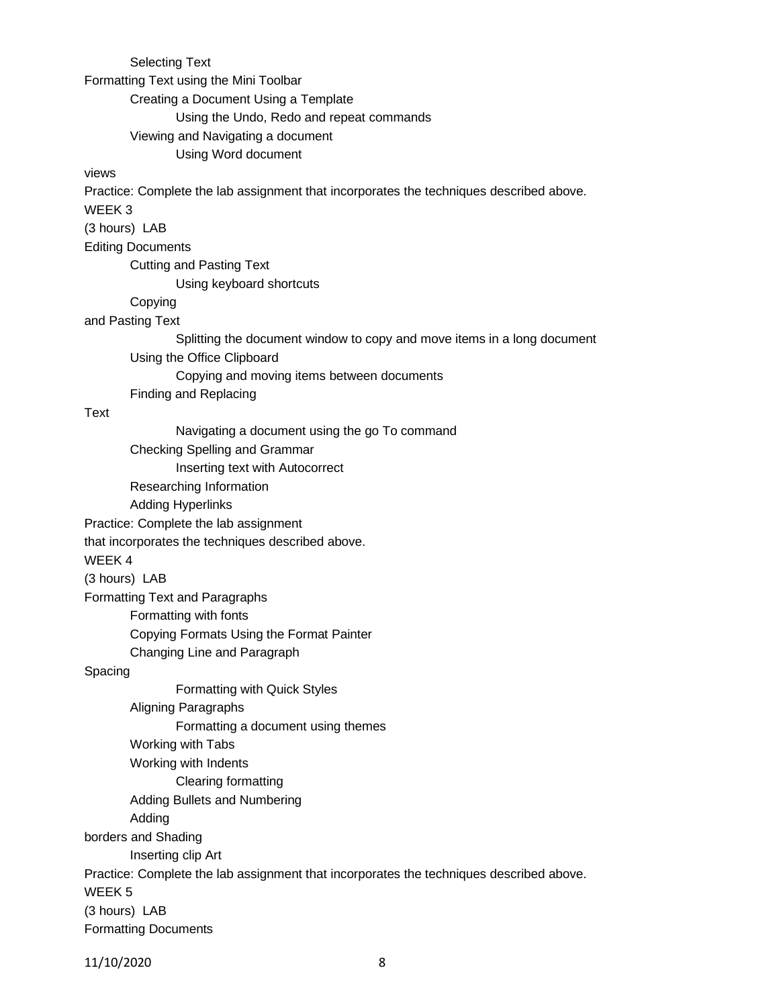Selecting Text

Formatting Text using the Mini Toolbar

Creating a Document Using a Template

Using the Undo, Redo and repeat commands

Viewing and Navigating a document

Using Word document

#### views

Practice: Complete the lab assignment that incorporates the techniques described above.

WEEK 3

(3 hours) LAB

Editing Documents

Cutting and Pasting Text

Using keyboard shortcuts

## Copying

and Pasting Text

Splitting the document window to copy and move items in a long document

Using the Office Clipboard

Copying and moving items between documents

Finding and Replacing

### Text

Navigating a document using the go To command Checking Spelling and Grammar Inserting text with Autocorrect Researching Information Adding Hyperlinks Practice: Complete the lab assignment that incorporates the techniques described above. WEEK 4 (3 hours) LAB Formatting Text and Paragraphs Formatting with fonts Copying Formats Using the Format Painter Changing Line and Paragraph Spacing Formatting with Quick Styles Aligning Paragraphs Formatting a document using themes Working with Tabs Working with Indents Clearing formatting Adding Bullets and Numbering Adding borders and Shading Inserting clip Art Practice: Complete the lab assignment that incorporates the techniques described above. WEEK 5 (3 hours) LAB Formatting Documents

11/10/2020 8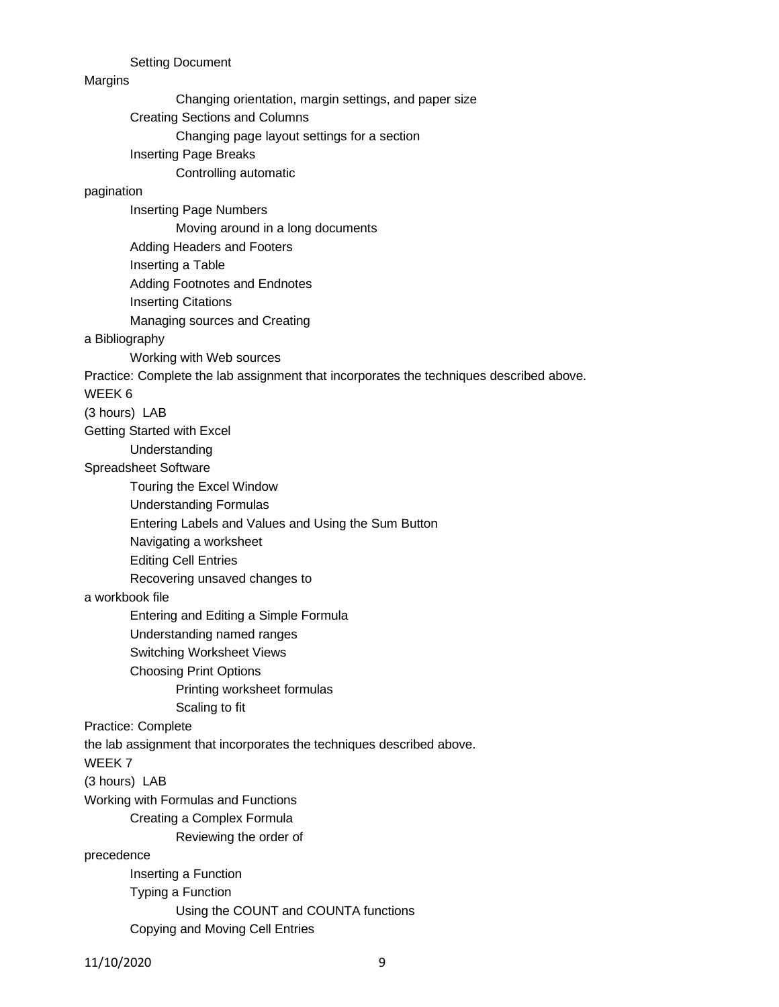Setting Document

#### **Margins**

Changing orientation, margin settings, and paper size

Creating Sections and Columns

Changing page layout settings for a section

Inserting Page Breaks

Controlling automatic

## pagination

Inserting Page Numbers Moving around in a long documents Adding Headers and Footers Inserting a Table Adding Footnotes and Endnotes Inserting Citations Managing sources and Creating

#### a Bibliography

Working with Web sources

Practice: Complete the lab assignment that incorporates the techniques described above.

### WEEK 6

(3 hours) LAB

Getting Started with Excel

Understanding

## Spreadsheet Software

Touring the Excel Window

Understanding Formulas

Entering Labels and Values and Using the Sum Button

Navigating a worksheet

Editing Cell Entries

Recovering unsaved changes to

#### a workbook file

Entering and Editing a Simple Formula

Understanding named ranges

- Switching Worksheet Views
- Choosing Print Options

Printing worksheet formulas

Scaling to fit

#### Practice: Complete

the lab assignment that incorporates the techniques described above.

WEEK 7

(3 hours) LAB

Working with Formulas and Functions

Creating a Complex Formula

Reviewing the order of

#### precedence

Inserting a Function Typing a Function Using the COUNT and COUNTA functions Copying and Moving Cell Entries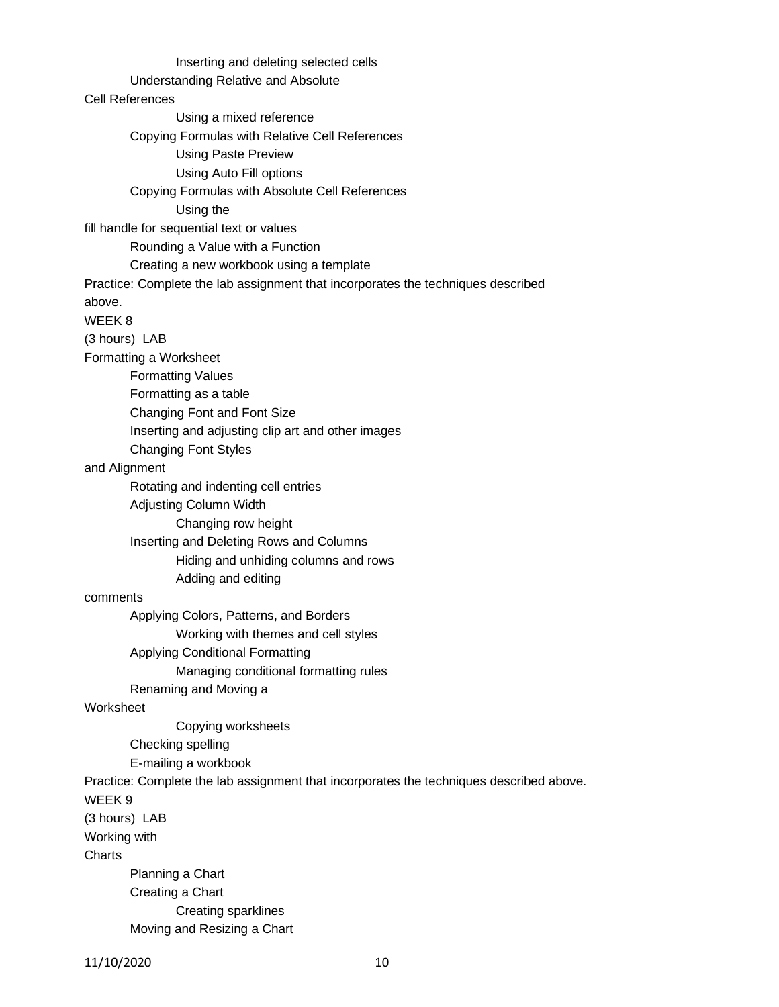Inserting and deleting selected cells Understanding Relative and Absolute Cell References Using a mixed reference Copying Formulas with Relative Cell References Using Paste Preview Using Auto Fill options Copying Formulas with Absolute Cell References Using the fill handle for sequential text or values Rounding a Value with a Function Creating a new workbook using a template Practice: Complete the lab assignment that incorporates the techniques described above. WEEK 8 (3 hours) LAB Formatting a Worksheet Formatting Values Formatting as a table Changing Font and Font Size Inserting and adjusting clip art and other images Changing Font Styles and Alignment Rotating and indenting cell entries Adjusting Column Width Changing row height Inserting and Deleting Rows and Columns Hiding and unhiding columns and rows Adding and editing comments Applying Colors, Patterns, and Borders Working with themes and cell styles Applying Conditional Formatting Managing conditional formatting rules Renaming and Moving a Worksheet Copying worksheets Checking spelling E-mailing a workbook Practice: Complete the lab assignment that incorporates the techniques described above. WEEK 9 (3 hours) LAB Working with **Charts** Planning a Chart Creating a Chart Creating sparklines Moving and Resizing a Chart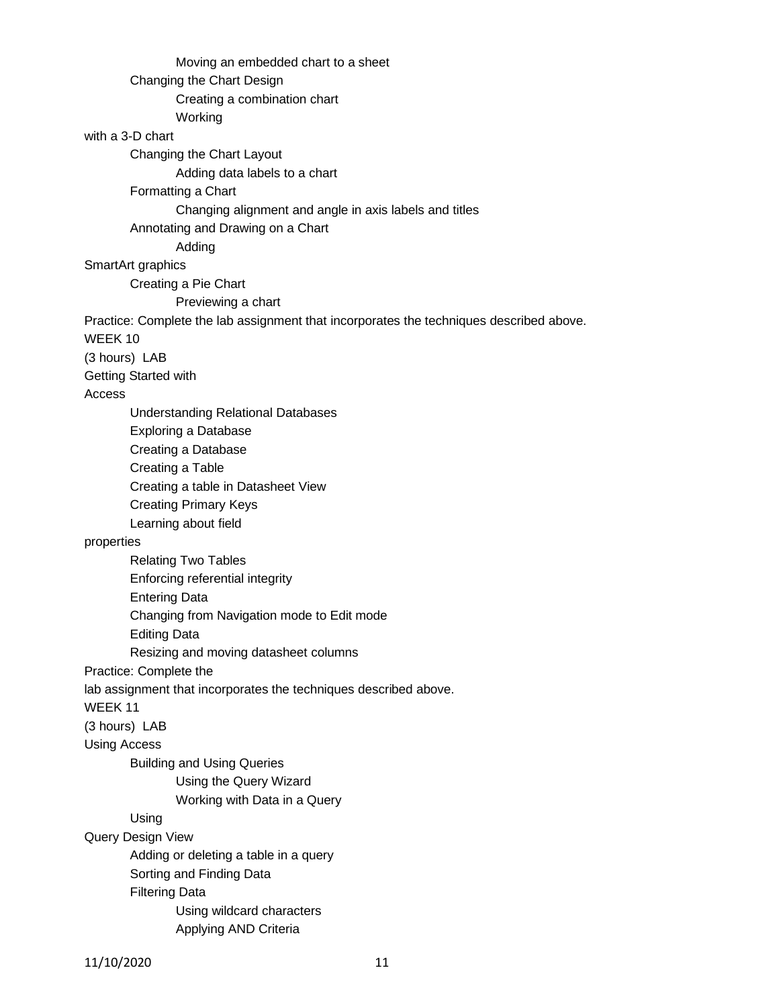Moving an embedded chart to a sheet Changing the Chart Design Creating a combination chart Working with a 3-D chart Changing the Chart Layout Adding data labels to a chart Formatting a Chart Changing alignment and angle in axis labels and titles Annotating and Drawing on a Chart Adding SmartArt graphics Creating a Pie Chart Previewing a chart Practice: Complete the lab assignment that incorporates the techniques described above. WEEK 10 (3 hours) LAB Getting Started with Access Understanding Relational Databases Exploring a Database Creating a Database Creating a Table Creating a table in Datasheet View Creating Primary Keys Learning about field properties Relating Two Tables Enforcing referential integrity Entering Data Changing from Navigation mode to Edit mode Editing Data Resizing and moving datasheet columns Practice: Complete the lab assignment that incorporates the techniques described above. WEEK 11 (3 hours) LAB Using Access Building and Using Queries Using the Query Wizard Working with Data in a Query Using Query Design View Adding or deleting a table in a query Sorting and Finding Data Filtering Data Using wildcard characters Applying AND Criteria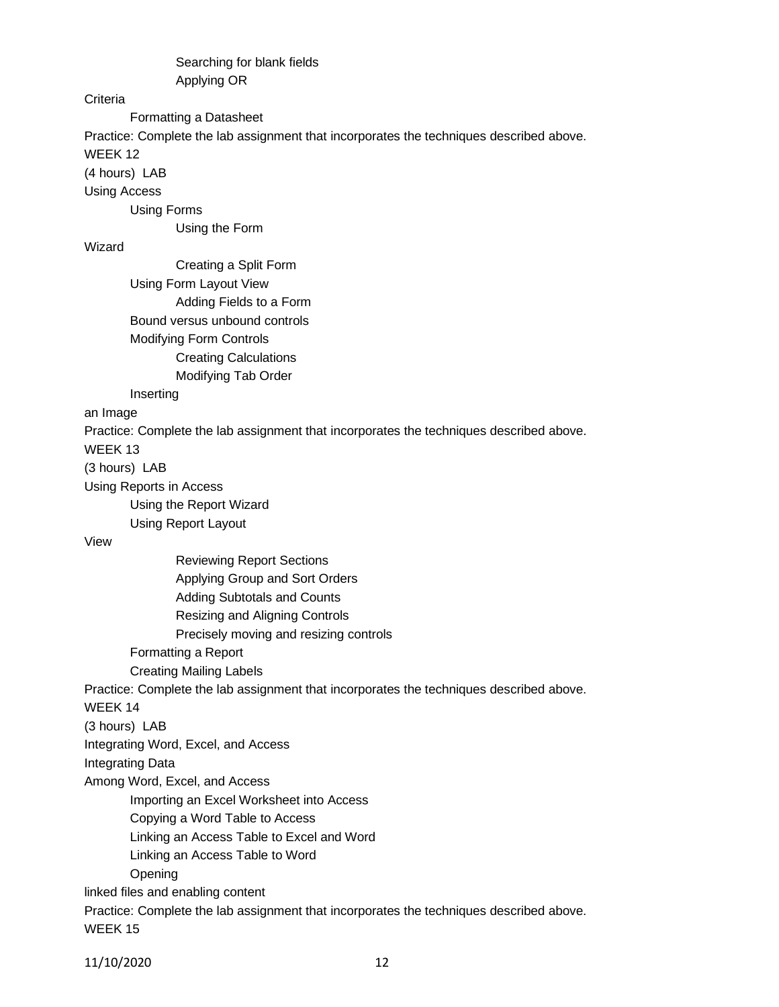Searching for blank fields Applying OR

## **Criteria**

Formatting a Datasheet

Practice: Complete the lab assignment that incorporates the techniques described above.

WEEK 12

(4 hours) LAB

Using Access

Using Forms

Using the Form

# Wizard

Creating a Split Form Using Form Layout View Adding Fields to a Form Bound versus unbound controls Modifying Form Controls Creating Calculations Modifying Tab Order

## Inserting

an Image

Practice: Complete the lab assignment that incorporates the techniques described above.

WEEK 13

(3 hours) LAB

Using Reports in Access

Using the Report Wizard

Using Report Layout

View

Reviewing Report Sections

Applying Group and Sort Orders

Adding Subtotals and Counts

Resizing and Aligning Controls

Precisely moving and resizing controls

Formatting a Report

Creating Mailing Labels

Practice: Complete the lab assignment that incorporates the techniques described above.

WEEK 14

(3 hours) LAB

Integrating Word, Excel, and Access

Integrating Data

Among Word, Excel, and Access

Importing an Excel Worksheet into Access

Copying a Word Table to Access

Linking an Access Table to Excel and Word

Linking an Access Table to Word

Opening

linked files and enabling content

Practice: Complete the lab assignment that incorporates the techniques described above. WEEK 15

11/10/2020 12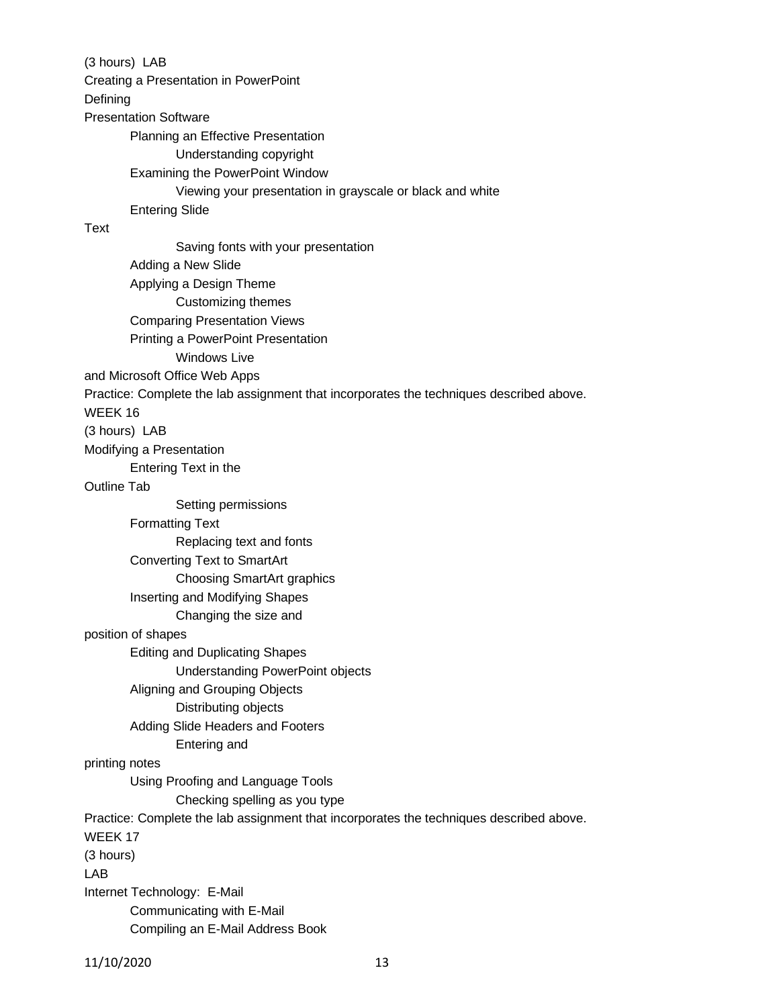(3 hours) LAB Creating a Presentation in PowerPoint Defining Presentation Software Planning an Effective Presentation Understanding copyright Examining the PowerPoint Window Viewing your presentation in grayscale or black and white Entering Slide Text Saving fonts with your presentation Adding a New Slide Applying a Design Theme Customizing themes Comparing Presentation Views Printing a PowerPoint Presentation Windows Live and Microsoft Office Web Apps Practice: Complete the lab assignment that incorporates the techniques described above. WEEK 16 (3 hours) LAB Modifying a Presentation Entering Text in the Outline Tab Setting permissions Formatting Text Replacing text and fonts Converting Text to SmartArt Choosing SmartArt graphics Inserting and Modifying Shapes Changing the size and position of shapes Editing and Duplicating Shapes Understanding PowerPoint objects Aligning and Grouping Objects Distributing objects Adding Slide Headers and Footers Entering and printing notes Using Proofing and Language Tools Checking spelling as you type Practice: Complete the lab assignment that incorporates the techniques described above. WEEK 17 (3 hours) LAB Internet Technology: E-Mail Communicating with E-Mail Compiling an E-Mail Address Book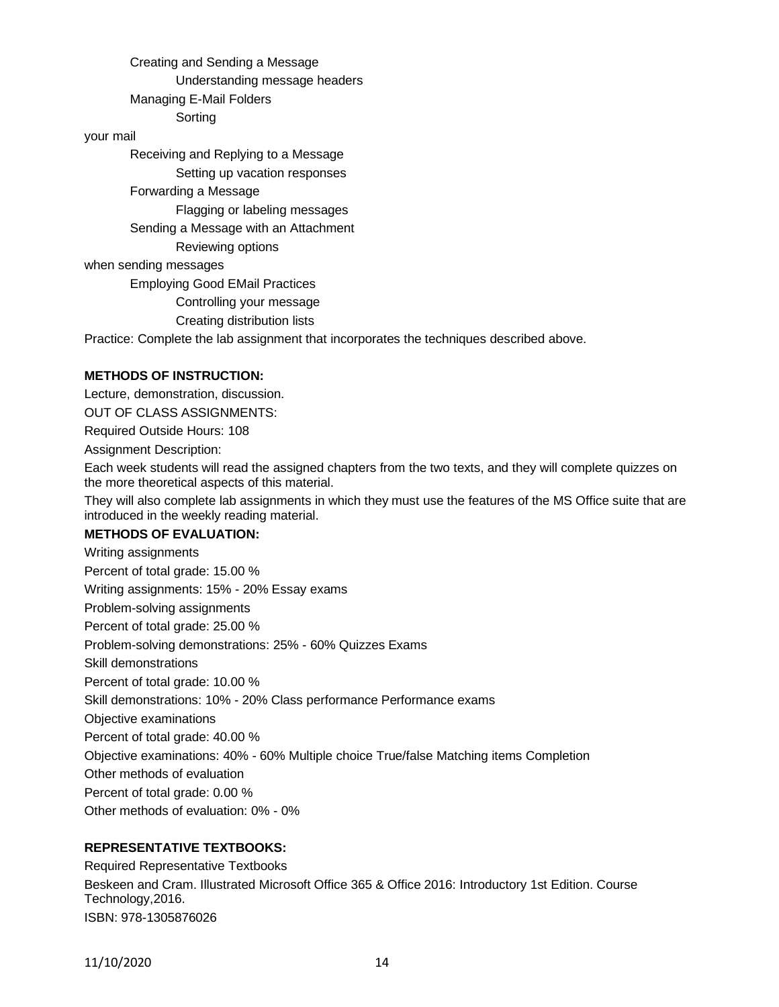Creating and Sending a Message Understanding message headers Managing E-Mail Folders Sorting

#### your mail

Receiving and Replying to a Message Setting up vacation responses Forwarding a Message Flagging or labeling messages Sending a Message with an Attachment Reviewing options when sending messages Employing Good EMail Practices

Controlling your message

Creating distribution lists

Practice: Complete the lab assignment that incorporates the techniques described above.

#### **METHODS OF INSTRUCTION:**

Lecture, demonstration, discussion.

OUT OF CLASS ASSIGNMENTS:

Required Outside Hours: 108

Assignment Description:

Each week students will read the assigned chapters from the two texts, and they will complete quizzes on the more theoretical aspects of this material.

They will also complete lab assignments in which they must use the features of the MS Office suite that are introduced in the weekly reading material.

### **METHODS OF EVALUATION:**

Writing assignments Percent of total grade: 15.00 % Writing assignments: 15% - 20% Essay exams Problem-solving assignments Percent of total grade: 25.00 % Problem-solving demonstrations: 25% - 60% Quizzes Exams Skill demonstrations Percent of total grade: 10.00 % Skill demonstrations: 10% - 20% Class performance Performance exams Objective examinations Percent of total grade: 40.00 % Objective examinations: 40% - 60% Multiple choice True/false Matching items Completion Other methods of evaluation Percent of total grade: 0.00 % Other methods of evaluation: 0% - 0%

### **REPRESENTATIVE TEXTBOOKS:**

Required Representative Textbooks Beskeen and Cram. Illustrated Microsoft Office 365 & Office 2016: Introductory 1st Edition. Course Technology,2016. ISBN: 978-1305876026